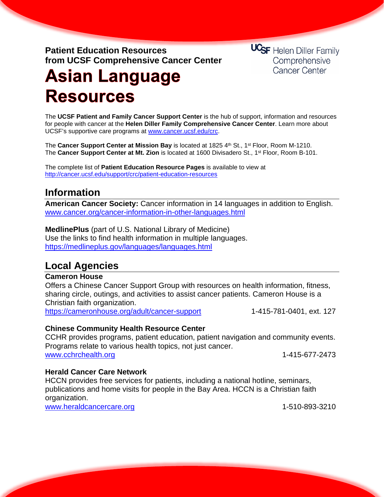**Patient Education Resources from UCSF Comprehensive Cancer Center** **UCSF** Helen Diller Family Comprehensive Cancer Center

# **Asian Language Resources**

The **UCSF Patient and Family Cancer Support Center** is the hub of support, information and resources for people with cancer at the **Helen Diller Family Comprehensive Cancer Center**. Learn more about UCSF's supportive care programs at [www.cancer.ucsf.edu/crc.](http://www.cancer.ucsf.edu/crc)

The **Cancer Support Center at Mission Bay** is located at 1825 4th St., 1<sup>st</sup> Floor, Room M-1210. The **Cancer Support Center at Mt. Zion** is located at 1600 Divisadero St., 1st Floor, Room B-101.

The complete list of **Patient Education Resource Pages** is available to view at <http://cancer.ucsf.edu/support/crc/patient-education-resources>

# **Information**

**American Cancer Society:** Cancer information in 14 languages in addition to English. [www.cancer.org/cancer-information-in-other-languages.html](http://www.cancer.org/cancer-information-in-other-languages.html)

**MedlinePlus** (part of U.S. National Library of Medicine) Use the links to find health information in multiple languages. <https://medlineplus.gov/languages/languages.html>

# **Local Agencies**

# **Cameron House**

Offers a Chinese Cancer Support Group with resources on health information, fitness, sharing circle, outings, and activities to assist cancer patients. Cameron House is a Christian faith organization.

<https://cameronhouse.org/adult/cancer-support> 1-415-781-0401, ext. 127

# **Chinese Community Health Resource Center**

CCHR provides programs, patient education, patient navigation and community events. Programs relate to various health topics, not just cancer. [www.cchrchealth.org](http://www.cchrchealth.org/) 1-415-677-2473

# **Herald Cancer Care Network**

HCCN provides free services for patients, including a national hotline, seminars, publications and home visits for people in the Bay Area. HCCN is a Christian faith organization.

[www.heraldcancercare.org](http://www.heraldcancercare.org/) 1-510-893-3210